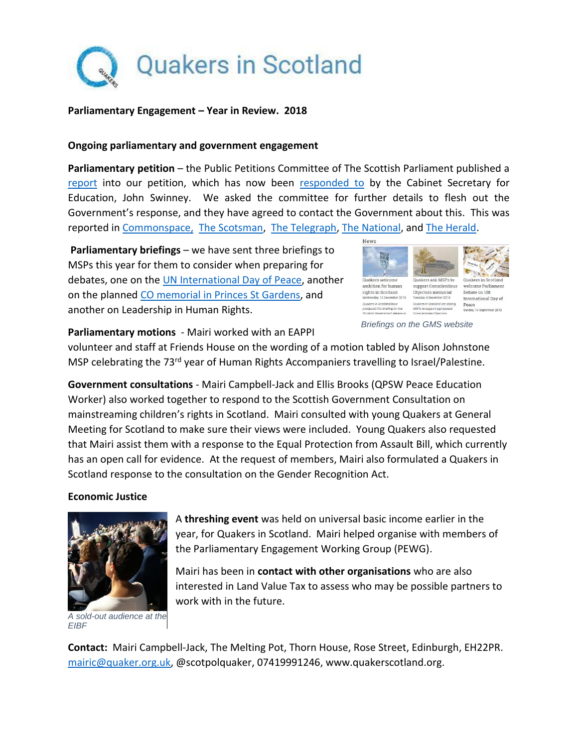

#### **Parliamentary Engagement – Year in Review. 2018**

### **Ongoing parliamentary and government engagement**

**Parliamentary petition** – the Public Petitions Committee of The Scottish Parliament published a [report](http://www.parliament.scot/S5_PublicPetitionsCommittee/Reports/PE1603EReport.pdf) into our petition, which has now been [responded to](http://www.parliament.scot/S5_PublicPetitionsCommittee/Submissions%202018/PE1603_II.pdf) by the Cabinet Secretary for Education, John Swinney. We asked the committee for further details to flesh out the Government's response, and they have agreed to contact the Government about this. This was reported in [Commonspace,](https://www.commonspace.scot/articles/12526/campaigners-against-early-military-recruitment-welcome-committee-decision-report) [The Scotsman,](https://www.scotsman.com/news/politics/scottish-government-urged-to-ensure-army-school-visits-are-appropriate-1-4749049) [The Telegraph,](https://www.telegraph.co.uk/politics/2018/06/04/msps-call-child-welfare-assessment-armed-forces-visits-scottish/) [The National,](https://www.thenational.scot/news/16266707.msps-urge-snp-to-tighten-rules-on-mod-school-visits/) and [The Herald.](https://www.heraldscotland.com/news/16266597.pupils-to-be-taught-risks-of-joining-the-army-after-top-gun-promotion-fears/)

**Parliamentary briefings** – we have sent three briefings to MSPs this year for them to consider when preparing for debates, one on the [UN International Day](http://www.quakerscotland.org/news/quakers-scotland-welcome-parliament-debate-un-international-day-peace-2018) of Peace, another on the planned [CO memorial in Princes](http://www.quakerscotland.org/news/quakers-ask-msps-support-conscientious-objectors-memorial) St Gardens, and another on Leadership in Human Rights.



*Briefings on the GMS website*

**Parliamentary motions** - Mairi worked with an EAPPI

volunteer and staff at Friends House on the wording of a motion tabled by Alison Johnstone MSP celebrating the 73<sup>rd</sup> year of Human Rights Accompaniers travelling to Israel/Palestine.

**Government consultations** - Mairi Campbell-Jack and Ellis Brooks (QPSW Peace Education Worker) also worked together to respond to the Scottish Government Consultation on mainstreaming children's rights in Scotland. Mairi consulted with young Quakers at General Meeting for Scotland to make sure their views were included. Young Quakers also requested that Mairi assist them with a response to the Equal Protection from Assault Bill, which currently has an open call for evidence. At the request of members, Mairi also formulated a Quakers in Scotland response to the consultation on the Gender Recognition Act.

## **Economic Justice**



A **threshing event** was held on universal basic income earlier in the year, for Quakers in Scotland. Mairi helped organise with members of the Parliamentary Engagement Working Group (PEWG).

Mairi has been in **contact with other organisations** who are also interested in Land Value Tax to assess who may be possible partners to work with in the future.

*A sold-out audience at the EIBF* 

**Contact:** Mairi Campbell-Jack, The Melting Pot, Thorn House, Rose Street, Edinburgh, EH22PR. [mairic@quaker.org.uk,](mailto:mairic@quaker.org.uk) @scotpolquaker, 07419991246, www.quakerscotland.org.